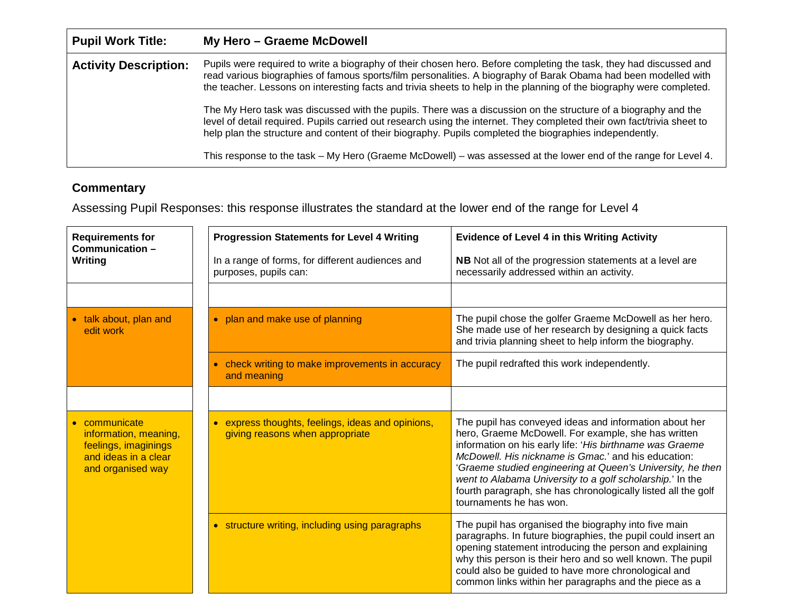| <b>Pupil Work Title:</b>     | My Hero - Graeme McDowell                                                                                                                                                                                                                                                                                                                                                                                                                                                                                                                                                                                                                                                                                                                                                                                                                |
|------------------------------|------------------------------------------------------------------------------------------------------------------------------------------------------------------------------------------------------------------------------------------------------------------------------------------------------------------------------------------------------------------------------------------------------------------------------------------------------------------------------------------------------------------------------------------------------------------------------------------------------------------------------------------------------------------------------------------------------------------------------------------------------------------------------------------------------------------------------------------|
| <b>Activity Description:</b> | Pupils were required to write a biography of their chosen hero. Before completing the task, they had discussed and<br>read various biographies of famous sports/film personalities. A biography of Barak Obama had been modelled with<br>the teacher. Lessons on interesting facts and trivia sheets to help in the planning of the biography were completed.<br>The My Hero task was discussed with the pupils. There was a discussion on the structure of a biography and the<br>level of detail required. Pupils carried out research using the internet. They completed their own fact/trivia sheet to<br>help plan the structure and content of their biography. Pupils completed the biographies independently.<br>This response to the task – My Hero (Graeme McDowell) – was assessed at the lower end of the range for Level 4. |

## **Commentary**

Assessing Pupil Responses: this response illustrates the standard at the lower end of the range for Level 4

| <b>Requirements for</b><br>Communication-<br>Writing                                                      | <b>Progression Statements for Level 4 Writing</b>                                               | <b>Evidence of Level 4 in this Writing Activity</b>                                                                                                                                                                                                                                                                                                                                                                                                     |
|-----------------------------------------------------------------------------------------------------------|-------------------------------------------------------------------------------------------------|---------------------------------------------------------------------------------------------------------------------------------------------------------------------------------------------------------------------------------------------------------------------------------------------------------------------------------------------------------------------------------------------------------------------------------------------------------|
|                                                                                                           | In a range of forms, for different audiences and<br>purposes, pupils can:                       | NB Not all of the progression statements at a level are<br>necessarily addressed within an activity.                                                                                                                                                                                                                                                                                                                                                    |
|                                                                                                           |                                                                                                 |                                                                                                                                                                                                                                                                                                                                                                                                                                                         |
| talk about, plan and<br>edit work                                                                         | • plan and make use of planning                                                                 | The pupil chose the golfer Graeme McDowell as her hero.<br>She made use of her research by designing a quick facts<br>and trivia planning sheet to help inform the biography.                                                                                                                                                                                                                                                                           |
|                                                                                                           | • check writing to make improvements in accuracy<br>and meaning                                 | The pupil redrafted this work independently.                                                                                                                                                                                                                                                                                                                                                                                                            |
|                                                                                                           |                                                                                                 |                                                                                                                                                                                                                                                                                                                                                                                                                                                         |
| communicate<br>information, meaning,<br>feelings, imaginings<br>and ideas in a clear<br>and organised way | express thoughts, feelings, ideas and opinions,<br>$\bullet$<br>giving reasons when appropriate | The pupil has conveyed ideas and information about her<br>hero, Graeme McDowell. For example, she has written<br>information on his early life: 'His birthname was Graeme<br>McDowell. His nickname is Gmac.' and his education:<br>'Graeme studied engineering at Queen's University, he then<br>went to Alabama University to a golf scholarship.' In the<br>fourth paragraph, she has chronologically listed all the golf<br>tournaments he has won. |
|                                                                                                           | • structure writing, including using paragraphs                                                 | The pupil has organised the biography into five main<br>paragraphs. In future biographies, the pupil could insert an<br>opening statement introducing the person and explaining<br>why this person is their hero and so well known. The pupil<br>could also be guided to have more chronological and<br>common links within her paragraphs and the piece as a                                                                                           |